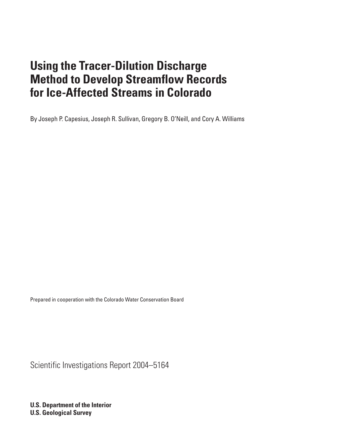By Joseph P. Capesius, Joseph R. Sullivan, Gregory B. O'Neill, and Cory A. Williams

Prepared in cooperation with the Colorado Water Conservation Board

Scientific Investigations Report 2004–5164

**U.S. Department of the Interior U.S. Geological Survey**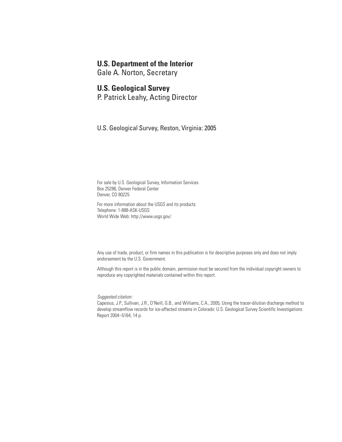## **U.S. Department of the Interior**

Gale A. Norton, Secretary

## **U.S. Geological Survey**

P. Patrick Leahy, Acting Director

U.S. Geological Survey, Reston, Virginia: 2005

For sale by U.S. Geological Survey, Information Services Box 25286, Denver Federal Center Denver, CO 80225

For more information about the USGS and its products: Telephone: 1-888-ASK-USGS World Wide Web: http://www.usgs.gov/

Any use of trade, product, or firm names in this publication is for descriptive purposes only and does not imply endorsement by the U.S. Government.

Although this report is in the public domain, permission must be secured from the individual copyright owners to reproduce any copyrighted materials contained within this report.

*Suggested citation:*

Capesius, J.P., Sullivan, J.R., O'Neill, G.B., and Williams, C.A., 2005, Using the tracer-dilution discharge method to develop streamflow records for ice-affected streams in Colorado: U.S. Geological Survey Scientific Investigations Report 2004–5164, 14 p.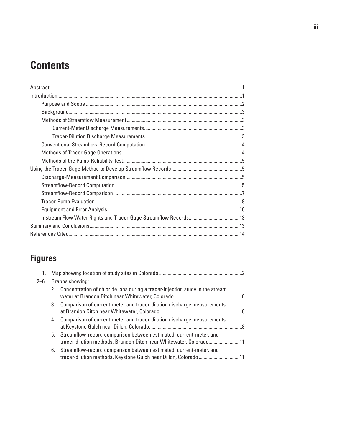# **Contents**

# **Figures**

| $2 - 6$ . |    | Graphs showing:                                                                                                                             |  |
|-----------|----|---------------------------------------------------------------------------------------------------------------------------------------------|--|
|           |    | 2. Concentration of chloride ions during a tracer-injection study in the stream                                                             |  |
|           |    | 3. Comparison of current-meter and tracer-dilution discharge measurements                                                                   |  |
|           | 4. | Comparison of current-meter and tracer-dilution discharge measurements                                                                      |  |
|           |    | 5. Streamflow-record comparison between estimated, current-meter, and<br>tracer-dilution methods, Brandon Ditch near Whitewater, Colorado11 |  |
|           | 6. | Streamflow-record comparison between estimated, current-meter, and<br>tracer-dilution methods, Keystone Gulch near Dillon, Colorado11       |  |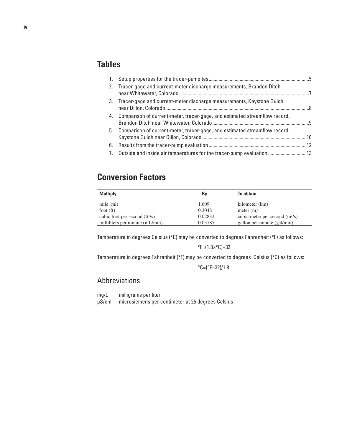# **Tables**

| 2.             | Tracer-gage and current-meter discharge measurements, Brandon Ditch        |  |
|----------------|----------------------------------------------------------------------------|--|
|                | 3. Tracer-gage and current-meter discharge measurements, Keystone Gulch    |  |
| 4.             | Comparison of current-meter, tracer-gage, and estimated streamflow record, |  |
| 5.             | Comparison of current-meter, tracer-gage, and estimated streamflow record, |  |
| 6.             |                                                                            |  |
| 7 <sub>1</sub> | 0 Outside and inside air temperatures for the tracer-pump evaluation 13    |  |

# **Conversion Factors**

| <b>Multiply</b>                  | B٧      | <b>To obtain</b>                |
|----------------------------------|---------|---------------------------------|
| mile (mi)                        | 1.609   | kilometer (km)                  |
| foot $(ft)$                      | 0.3048  | meter (m)                       |
| cubic foot per second $(ft^3/s)$ | 0.02832 | cubic meter per second $(m3/s)$ |
| milliliters per minute (mL/min)  | 0.03785 | gallon per minute (gal/min)     |

Temperature in degrees Celsius (°C) may be converted to degrees Fahrenheit (°F) as follows:

 $\textdegree$ F=(1.8× $\textdegree$ C)+32

Temperature in degrees Fahrenheit (°F) may be converted to degrees Celsius (°C) as follows:

 $°C=(°F-32)/1.8$ 

## Abbreviations

mg/L milligrams per liter<br>µS/cm microsiemens per o microsiemens per centimeter at 25 degrees Celsius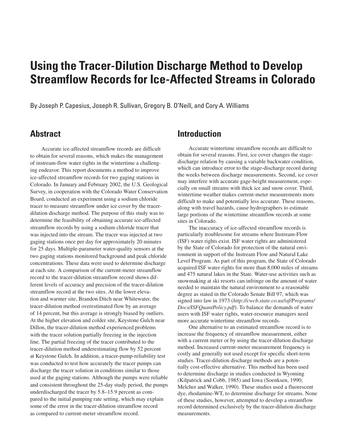By Joseph P. Capesius, Joseph R. Sullivan, Gregory B. O'Neill, and Cory A. Williams

## **Abstract**

Accurate ice-affected streamflow records are difficult to obtain for several reasons, which makes the management of instream-flow water rights in the wintertime a challenging endeavor. This report documents a method to improve ice-affected streamflow records for two gaging stations in Colorado. In January and February 2002, the U.S. Geological Survey, in cooperation with the Colorado Water Conservation Board, conducted an experiment using a sodium chloride tracer to measure streamflow under ice cover by the tracerdilution discharge method. The purpose of this study was to determine the feasibility of obtaining accurate ice-affected streamflow records by using a sodium chloride tracer that was injected into the stream. The tracer was injected at two gaging stations once per day for approximately 20 minutes for 25 days. Multiple-parameter water-quality sensors at the two gaging stations monitored background and peak chloride concentrations. These data were used to determine discharge at each site. A comparison of the current-meter streamflow record to the tracer-dilution streamflow record shows different levels of accuracy and precision of the tracer-dilution streamflow record at the two sites. At the lower elevation and warmer site, Brandon Ditch near Whitewater, the tracer-dilution method overestimated flow by an average of 14 percent, but this average is strongly biased by outliers. At the higher elevation and colder site, Keystone Gulch near Dillon, the tracer-dilution method experienced problems with the tracer solution partially freezing in the injection line. The partial freezing of the tracer contributed to the tracer-dilution method underestimating flow by 52 percent at Keystone Gulch. In addition, a tracer-pump-reliability test was conducted to test how accurately the tracer pumps can discharge the tracer solution in conditions similar to those used at the gaging stations. Although the pumps were reliable and consistent throughout the 25-day study period, the pumps underdischarged the tracer by 5.8–15.9 percent as compared to the initial pumping rate setting, which may explain some of the error in the tracer-dilution streamflow record as compared to current-meter streamflow record.

# **Introduction**

Accurate wintertime streamflow records are difficult to obtain for several reasons. First, ice cover changes the stagedischarge relation by causing a variable backwater condition, which can introduce error to the stage-discharge record during the weeks between discharge measurements. Second, ice cover may interfere with accurate gage-height measurement, especially on small streams with thick ice and snow cover. Third, wintertime weather makes current-meter measurements more difficult to make and potentially less accurate. These reasons, along with travel hazards, cause hydrographers to estimate large portions of the wintertime streamflow records at some sites in Colorado.

The inaccuracy of ice-affected streamflow records is particularly troublesome for streams where Instream-Flow (ISF) water rights exist. ISF water rights are administered by the State of Colorado for protection of the natural environment in support of the Instream Flow and Natural Lake Level Program. As part of this program, the State of Colorado acquired ISF water rights for more than 8,000 miles of streams and 475 natural lakes in the State. Water-use activities such as snowmaking at ski resorts can infringe on the amount of water needed to maintain the natural environment to a reasonable degree as stated in the Colorado Senate Bill 97, which was signed into law in 1973 (*http://cwcb.state.co.us/isf/Programs/ Docs/ISFQuantPolicy.pdf*). To balance the demands of water users with ISF water rights, water-resource managers need more accurate wintertime streamflow records.

One alternative to an estimated streamflow record is to increase the frequency of streamflow measurement, either with a current meter or by using the tracer-dilution discharge method. Increased current-meter measurement frequency is costly and generally not used except for specific short-term studies. Tracer-dilution discharge methods are a potentially cost-effective alternative. This method has been used to determine discharge in studies conducted in Wyoming (Kilpatrick and Cobb, 1985) and Iowa (Soenksen, 1990; Melcher and Walker, 1990). These studies used a fluorescent dye, rhodamine-WT, to determine discharge for streams. None of these studies, however, attempted to develop a streamflow record determined exclusively by the tracer-dilution discharge measurements.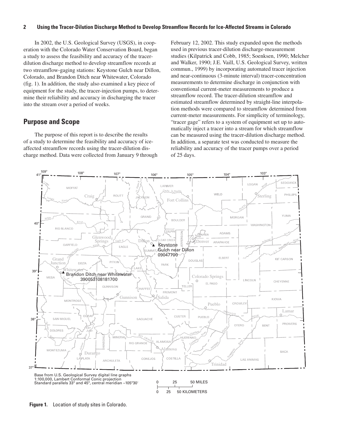In 2002, the U.S. Geological Survey (USGS), in cooperation with the Colorado Water Conservation Board, began a study to assess the feasibility and accuracy of the tracerdilution discharge method to develop streamflow records at two streamflow-gaging stations: Keystone Gulch near Dillon, Colorado, and Brandon Ditch near Whitewater, Colorado (fig. 1). In addition, the study also examined a key piece of equipment for the study, the tracer-injection pumps, to determine their reliability and accuracy in discharging the tracer into the stream over a period of weeks.

### **Purpose and Scope**

The purpose of this report is to describe the results of a study to determine the feasibility and accuracy of iceaffected streamflow records using the tracer-dilution discharge method. Data were collected from January 9 through February 12, 2002. This study expanded upon the methods used in previous tracer-dilution discharge-measurement studies (Kilpatrick and Cobb, 1985; Soenksen, 1990; Melcher and Walker, 1990; J.E. Vaill, U.S. Geological Survey, written commun., 1999) by incorporating automated tracer injection and near-continuous (3-minute interval) tracer-concentration measurements to determine discharge in conjunction with conventional current-meter measurements to produce a streamflow record. The tracer-dilution streamflow and estimated streamflow determined by straight-line interpolation methods were compared to streamflow determined from current-meter measurements. For simplicity of terminology, "tracer gage" refers to a system of equipment set up to automatically inject a tracer into a stream for which streamflow can be measured using the tracer-dilution discharge method. In addition, a separate test was conducted to measure the reliability and accuracy of the tracer pumps over a period of 25 days.



**Figure 1.** Location of study sites in Colorado.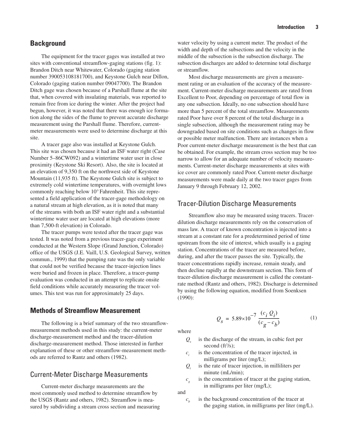## **Background**

The equipment for the tracer gages was installed at two sites with conventional streamflow-gaging stations (fig. 1): Brandon Ditch near Whitewater, Colorado (gaging station number 390053108181700), and Keystone Gulch near Dillon, Colorado (gaging station number 09047700). The Brandon Ditch gage was chosen because of a Parshall flume at the site that, when covered with insulating materials, was reported to remain free from ice during the winter. After the project had begun, however, it was noted that there was enough ice formation along the sides of the flume to prevent accurate discharge measurement using the Parshall flume. Therefore, currentmeter measurements were used to determine discharge at this site.

A tracer gage also was installed at Keystone Gulch. This site was chosen because it had an ISF water right (Case Number 5–86CW092) and a wintertime water user in close proximity (Keystone Ski Resort). Also, the site is located at an elevation of 9,350 ft on the northwest side of Keystone Mountain (11,935 ft). The Keystone Gulch site is subject to extremely cold wintertime temperatures, with overnight lows commonly reaching below 10° Fahrenheit. This site represented a field application of the tracer-gage methodology on a natural stream at high elevation, as it is noted that many of the streams with both an ISF water right and a substantial wintertime water user are located at high elevations (more than 7,500-ft elevation) in Colorado.

The tracer pumps were tested after the tracer gage was tested. It was noted from a previous tracer-gage experiment conducted at the Western Slope (Grand Junction, Colorado) office of the USGS (J.E. Vaill, U.S. Geological Survey, written commun., 1999) that the pumping rate was the only variable that could not be verified because the tracer-injection lines were buried and frozen in place. Therefore, a tracer-pump evaluation was conducted in an attempt to replicate onsite field conditions while accurately measuring the tracer volumes. This test was run for approximately 25 days.

## **Methods of Streamflow Measurement**

The following is a brief summary of the two streamflowmeasurement methods used in this study: the current-meter discharge-measurement method and the tracer-dilution discharge-measurement method. Those interested in further explanation of these or other streamflow-measurement methods are referred to Rantz and others (1982).

### Current-Meter Discharge Measurements

Current-meter discharge measurements are the most commonly used method to determine streamflow by the USGS (Rantz and others, 1982). Streamflow is measured by subdividing a stream cross section and measuring water velocity by using a current meter. The product of the width and depth of the subsections and the velocity in the middle of the subsection is the subsection discharge. The subsection discharges are added to determine total discharge or streamflow.

Most discharge measurements are given a measurement rating or an evaluation of the accuracy of the measurement. Current-meter discharge measurements are rated from Excellent to Poor, depending on percentage of total flow in any one subsection. Ideally, no one subsection should have more than 5 percent of the total streamflow. Measurements rated Poor have over 8 percent of the total discharge in a single subsection, although the measurement rating may be downgraded based on site conditions such as changes in flow or possible meter malfunction. There are instances when a Poor current-meter discharge measurement is the best that can be obtained. For example, the stream cross section may be too narrow to allow for an adequate number of velocity measurements. Current-meter discharge measurements at sites with ice cover are commonly rated Poor. Current-meter discharge measurements were made daily at the two tracer gages from January 9 through February 12, 2002.

### Tracer-Dilution Discharge Measurements

Streamflow also may be measured using tracers. Tracerdilution discharge measurements rely on the conservation of mass law. A tracer of known concentration is injected into a stream at a constant rate for a predetermined period of time upstream from the site of interest, which usually is a gaging station. Concentrations of the tracer are measured before, during, and after the tracer passes the site. Typically, the tracer concentrations rapidly increase, remain steady, and then decline rapidly at the downstream section. This form of tracer-dilution discharge measurement is called the constantrate method (Rantz and others, 1982). Discharge is determined by using the following equation, modified from Soenksen (1990):

$$
Q_{s} = 5.89 \times 10^{-7} \frac{(c_{i} Q_{i})}{(c_{g} - c_{b})}
$$
 (1)

where

- *Qs* is the discharge of the stream, in cubic feet per second  $(ft^3/s)$ ;
- $c_i$  is the concentration of the tracer injected, in milligrams per liter (mg/L);
- *Qi* is the rate of tracer injection, in milliliters per minute (mL/min);
- $c_g$  is the concentration of tracer at the gaging station, in milligrams per liter (mg/L);

and

 $c<sub>b</sub>$  is the background concentration of the tracer at the gaging station, in milligrams per liter (mg/L).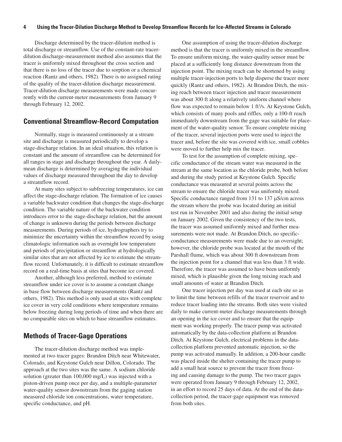Discharge determined by the tracer-dilution method is total discharge or streamflow. Use of the constant-rate tracerdilution discharge-measurement method also assumes that the tracer is uniformly mixed throughout the cross section and that there is no loss of the tracer due to sorption or a chemical reaction (Rantz and others, 1982). There is no assigned rating of the quality of the tracer-dilution discharge measurement. Tracer-dilution discharge measurements were made concurrently with the current-meter measurements from January 9 through February 12, 2002.

### **Conventional Streamflow-Record Computation**

Normally, stage is measured continuously at a stream site and discharge is measured periodically to develop a stage-discharge relation. In an ideal situation, this relation is constant and the amount of streamflow can be determined for all ranges in stage and discharge throughout the year. A dailymean discharge is determined by averaging the individual values of discharge measured throughout the day to develop a streamflow record.

At many sites subject to subfreezing temperatures, ice can affect the stage-discharge relation. The formation of ice causes a variable backwater condition that changes the stage-discharge condition. The variable nature of the backwater condition introduces error to the stage-discharge relation, but the amount of change is unknown during the periods between discharge measurements. During periods of ice, hydrographers try to minimize the uncertainty within the streamflow record by using climatologic information such as overnight low temperature and periods of precipitation or streamflow at hydrologically similar sites that are not affected by ice to estimate the streamflow record. Unfortunately, it is difficult to estimate streamflow record on a real-time basis at sites that become ice covered.

Another, although less preferred, method to estimate streamflow under ice cover is to assume a constant change in base flow between discharge measurements (Rantz and others, 1982). This method is only used at sites with complete ice cover in very cold conditions where temperature remains below freezing during long periods of time and when there are no comparable sites on which to base streamflow estimates.

#### **Methods of Tracer-Gage Operations**

The tracer-dilution discharge method was implemented at two tracer gages: Brandon Ditch near Whitewater, Colorado, and Keystone Gulch near Dillon, Colorado. The approach at the two sites was the same. A sodium chloride solution (greater than 100,000 mg/L) was injected with a piston-driven pump once per day, and a multiple-parameter water-quality sensor downstream from the gaging station measured chloride ion concentrations, water temperature, specific conductance, and pH.

One assumption of using the tracer-dilution discharge method is that the tracer is uniformly mixed in the streamflow. To ensure uniform mixing, the water-quality sensor must be placed at a sufficiently long distance downstream from the injection point. The mixing reach can be shortened by using multiple tracer-injection ports to help disperse the tracer more quickly (Rantz and others, 1982). At Brandon Ditch, the mixing reach between tracer injection and tracer measurement was about 300 ft along a relatively uniform channel where flow was expected to remain below 1 ft<sup>3</sup>/s. At Keystone Gulch, which consists of many pools and riffles, only a 100-ft reach immediately downstream from the gage was suitable for placement of the water-quality sensor. To ensure complete mixing of the tracer, several injection ports were used to inject the tracer and, before the site was covered with ice, small cobbles were moved to further help mix the tracer.

To test for the assumption of complete mixing, specific conductance of the stream water was measured in the stream at the same location as the chloride probe, both before and during the study period at Keystone Gulch. Specific conductance was measured at several points across the stream to ensure the chloride tracer was uniformly mixed. Specific conductance ranged from 131 to 137  $\mu$ S/cm across the stream where the probe was located during an initial test run in November 2001 and also during the initial setup on January 2002. Given the consistency of the two tests, the tracer was assumed uniformly mixed and further measurements were not made. At Brandon Ditch, no specificconductance measurements were made due to an oversight; however, the chloride probe was located at the mouth of the Parshall flume, which was about 300 ft downstream from the injection point for a channel that was less than 3 ft wide. Therefore, the tracer was assumed to have been uniformly mixed, which is plausible given the long mixing reach and small amounts of water at Brandon Ditch.

One tracer injection per day was used at each site so as to limit the time between refills of the tracer reservoir and to reduce tracer loading into the streams. Both sites were visited daily to make current-meter discharge measurements through an opening in the ice cover and to ensure that the equipment was working properly. The tracer pump was activated automatically by the data-collection platform at Brandon Ditch. At Keystone Gulch, electrical problems in the datacollection platform prevented automatic injection, so the pump was activated manually. In addition, a 200-hour candle was placed inside the shelter containing the tracer pump to add a small heat source to prevent the tracer from freezing and causing damage to the pump. The two tracer gages were operated from January 9 through February 12, 2002, in an effort to record 25 days of data. At the end of the datacollection period, the tracer-gage equipment was removed from both sites.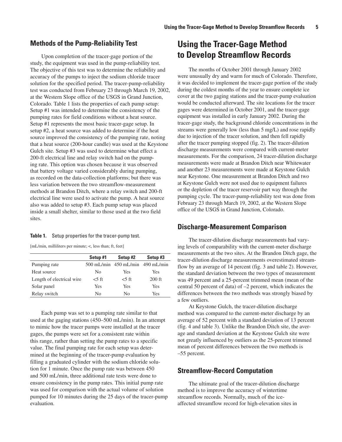## **Methods of the Pump-Reliability Test**

Upon completion of the tracer-gage portion of the study, the equipment was used in the pump-reliability test. The objective of this test was to determine the reliability and accuracy of the pumps to inject the sodium chloride tracer solution for the specified period. The tracer-pump-reliability test was conducted from February 23 through March 19, 2002, at the Western Slope office of the USGS in Grand Junction, Colorado. Table 1 lists the properties of each pump setup: Setup #1 was intended to determine the consistency of the pumping rates for field conditions without a heat source. Setup #1 represents the most basic tracer-gage setup. In setup #2, a heat source was added to determine if the heat source improved the consistency of the pumping rate, noting that a heat source (200-hour candle) was used at the Keystone Gulch site. Setup #3 was used to determine what effect a 200-ft electrical line and relay switch had on the pumping rate. This option was chosen because it was observed that battery voltage varied considerably during pumping, as recorded on the data-collection platforms; but there was less variation between the two streamflow-measurement methods at Brandon Ditch, where a relay switch and 200-ft electrical line were used to activate the pump. A heat source also was added to setup #3. Each pump setup was placed inside a small shelter, similar to those used at the two field sites.

#### **Table 1.** Setup properties for the tracer-pump test.

[mL/min, milliliters per minute; <, less than; ft, feet]

|                            | Setup #1 | Setup #2                               | Setup #3 |
|----------------------------|----------|----------------------------------------|----------|
| Pumping rate               |          | $500$ mL/min $450$ mL/min $490$ mL/min |          |
| Heat source                | No       | Yes                                    | Yes      |
| Length of electrical wire. | $<$ 5 ft | $<$ 5 ft                               | $200$ ft |
| Solar panel                | Yes      | Yes                                    | Yes      |
| Relay switch               | No       | No                                     | Yes      |

Each pump was set to a pumping rate similar to that used at the gaging stations (450–500 mL/min). In an attempt to mimic how the tracer pumps were installed at the tracer gages, the pumps were set for a consistent rate within this range, rather than setting the pump rates to a specific value. The final pumping rate for each setup was determined at the beginning of the tracer-pump evaluation by filling a graduated cylinder with the sodium chloride solution for 1 minute. Once the pump rate was between 450 and 500 mL/min, three additional rate tests were done to ensure consistency in the pump rates. This initial pump rate was used for comparison with the actual volume of solution pumped for 10 minutes during the 25 days of the tracer-pump evaluation.

# **Using the Tracer-Gage Method to Develop Streamflow Records**

The months of October 2001 through January 2002 were unusually dry and warm for much of Colorado. Therefore, it was decided to implement the tracer-gage portion of the study during the coldest months of the year to ensure complete ice cover at the two gaging stations and the tracer-pump evaluation would be conducted afterward. The site locations for the tracer gages were determined in October 2001, and the tracer-gage equipment was installed in early January 2002. During the tracer-gage study, the background chloride concentrations in the streams were generally low (less than 5 mg/L) and rose rapidly due to injection of the tracer solution, and then fell rapidly after the tracer pumping stopped (fig. 2). The tracer-dilution discharge measurements were compared with current-meter measurements. For the comparison, 24 tracer-dilution discharge measurements were made at Brandon Ditch near Whitewater and another 23 measurements were made at Keystone Gulch near Keystone. One measurement at Brandon Ditch and two at Keystone Gulch were not used due to equipment failures or the depletion of the tracer reservoir part way through the pumping cycle. The tracer-pump-reliability test was done from February 23 through March 19, 2002, at the Western Slope office of the USGS in Grand Junction, Colorado.

#### **Discharge-Measurement Comparison**

The tracer-dilution discharge measurements had varying levels of comparability with the current-meter discharge measurements at the two sites. At the Brandon Ditch gage, the tracer-dilution discharge measurements overestimated streamflow by an average of 14 percent (fig. 3 and table 2). However, the standard deviation between the two types of measurement was 49 percent and a 25-percent trimmed mean (mean of the central 50 percent of data) of –2 percent, which indicates the differences between the two methods was strongly biased by a few outliers.

At Keystone Gulch, the tracer-dilution discharge method was compared to the current-meter discharge by an average of 52 percent with a standard deviation of 13 percent (fig. 4 and table 3). Unlike the Brandon Ditch site, the average and standard deviation at the Keystone Gulch site were not greatly influenced by outliers as the 25-percent trimmed mean of percent differences between the two methods is –55 percent.

#### **Streamflow-Record Computation**

The ultimate goal of the tracer-dilution discharge method is to improve the accuracy of wintertime streamflow records. Normally, much of the iceaffected streamflow record for high-elevation sites in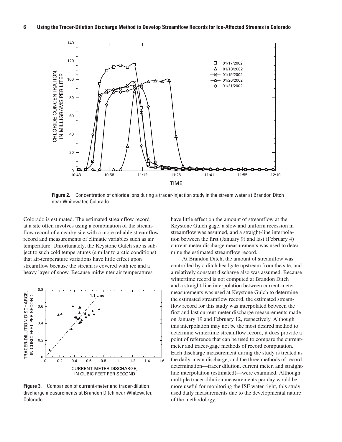

**Figure 2.** Concentration of chloride ions during a tracer-injection study in the stream water at Brandon Ditch near Whitewater, Colorado.

Colorado is estimated. The estimated streamflow record at a site often involves using a combination of the streamflow record of a nearby site with a more reliable streamflow record and measurements of climatic variables such as air temperature. Unfortunately, the Keystone Gulch site is subject to such cold temperatures (similar to arctic conditions) that air-temperature variations have little effect upon streamflow because the stream is covered with ice and a heavy layer of snow. Because midwinter air temperatures



**Figure 3.** Comparison of current-meter and tracer-dilution discharge measurements at Brandon Ditch near Whitewater, Colorado.

have little effect on the amount of streamflow at the Keystone Gulch gage, a slow and uniform recession in streamflow was assumed, and a straight-line interpolation between the first (January 9) and last (February 4) current-meter discharge measurements was used to determine the estimated streamflow record.

At Brandon Ditch, the amount of streamflow was controlled by a ditch headgate upstream from the site, and a relatively constant discharge also was assumed. Because wintertime record is not computed at Brandon Ditch and a straight-line interpolation between current-meter measurements was used at Keystone Gulch to determine the estimated streamflow record, the estimated streamflow record for this study was interpolated between the first and last current-meter discharge measurements made on January 19 and February 12, respectively. Although this interpolation may not be the most desired method to determine wintertime streamflow record, it does provide a point of reference that can be used to compare the currentmeter and tracer-gage methods of record computation. Each discharge measurement during the study is treated as the daily-mean discharge, and the three methods of record determination—tracer dilution, current meter, and straightline interpolation (estimated)—were examined. Although multiple tracer-dilution measurements per day would be more useful for monitoring the ISF water right, this study used daily measurements due to the developmental nature of the methodology.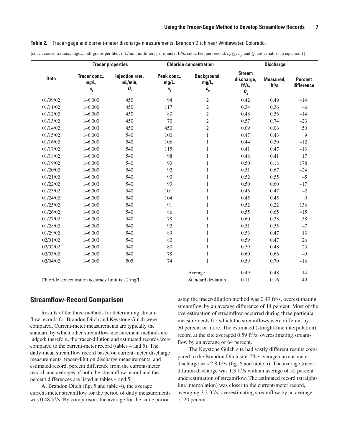#### **Table 2.** Tracer-gage and current-meter discharge measurements, Brandon Ditch near Whitewater, Colorado.

[conc., concentrations; mg/L, milligrams per liter; mL/min, milliliters per minute; ft<sup>3</sup>/s, cubic feet per second.  $c_i$ ,  $Q_i$ ,  $c_g$ , and  $Q_s$  are variables in equation 1]

|                                                                                             | <b>Chloride concentration</b><br><b>Tracer properties</b> |                                                    |                                     | <b>Discharge</b>                         |                                                                 |                       |                              |
|---------------------------------------------------------------------------------------------|-----------------------------------------------------------|----------------------------------------------------|-------------------------------------|------------------------------------------|-----------------------------------------------------------------|-----------------------|------------------------------|
| <b>Date</b>                                                                                 | Tracer conc.,<br>mg/L,<br>$\pmb{c}_i$                     | Injection rate,<br>mL/min,<br>$\boldsymbol{a}_{i}$ | Peak conc.,<br>mg/L,<br>$\pmb{c}_g$ | Background,<br>mg/L,<br>$\pmb{c}_{{}_b}$ | <b>Stream</b><br>discharge,<br>$ft^3/s$ ,<br>$\boldsymbol{a}_s$ | Measured,<br>$ft^3/s$ | <b>Percent</b><br>difference |
| 01/09/02                                                                                    | 146,000                                                   | 450                                                | 94                                  | $\sqrt{2}$                               | 0.42                                                            | 0.49                  | $-14$                        |
| 01/11/02                                                                                    | 146,000                                                   | 450                                                | 117                                 | $\sqrt{2}$                               | 0.34                                                            | 0.36                  | $-6$                         |
| 01/12/02                                                                                    | 146,000                                                   | 450                                                | 83                                  | $\sqrt{2}$                               | 0.48                                                            | 0.56                  | $-14$                        |
| 01/13/02                                                                                    | 146,000                                                   | 450                                                | 70                                  | $\overline{c}$                           | 0.57                                                            | 0.74                  | $-23$                        |
| 01/14/02                                                                                    | 146,000                                                   | 450                                                | 450                                 | $\sqrt{2}$                               | 0.09                                                            | 0.06                  | 50                           |
| 01/15/02                                                                                    | 146,000                                                   | 540                                                | 100                                 | $\mathbf{1}$                             | 0.47                                                            | 0.43                  | 9                            |
| 01/16/02                                                                                    | 146,000                                                   | 540                                                | 106                                 | $\mathbf{1}$                             | 0.44                                                            | 0.50                  | $-12$                        |
| 01/17/02                                                                                    | 146,000                                                   | 540                                                | 115                                 | $\mathbf{1}$                             | 0.41                                                            | 0.47                  | $-13$                        |
| 01/18/02                                                                                    | 146,000                                                   | 540                                                | 98                                  | $\mathbf{1}$                             | 0.48                                                            | 0.41                  | 17                           |
| 01/19/02                                                                                    | 146,000                                                   | 540                                                | 93                                  | $\mathbf{1}$                             | 0.50                                                            | 0.18                  | 178                          |
| 01/20/02                                                                                    | 146,000                                                   | 540                                                | 92                                  | 1                                        | 0.51                                                            | 0.67                  | $-24$                        |
| 01/21/02                                                                                    | 146,000                                                   | 540                                                | 90                                  | $\mathbf{1}$                             | 0.52                                                            | 0.55                  | $-5$                         |
| 01/22/02                                                                                    | 146,000                                                   | 540                                                | 93                                  | $\mathbf{1}$                             | 0.50                                                            | 0.60                  | $-17$                        |
| 01/23/02                                                                                    | 146,000                                                   | 540                                                | 101                                 | $\mathbf{1}$                             | 0.46                                                            | 0.47                  | $-2$                         |
| 01/24/02                                                                                    | 146,000                                                   | 540                                                | 104                                 | $\mathbf{1}$                             | 0.45                                                            | 0.45                  | $\overline{0}$               |
| 01/25/02                                                                                    | 146,000                                                   | 540                                                | 91                                  | $\mathbf{1}$                             | 0.52                                                            | 0.22                  | 136                          |
| 01/26/02                                                                                    | 146,000                                                   | 540                                                | 86                                  | 1                                        | 0.55                                                            | 0.65                  | $-15$                        |
| 01/27/02                                                                                    | 146,000                                                   | 540                                                | 78                                  | $\mathbf{1}$                             | 0.60                                                            | 0.38                  | 58                           |
| 01/28/02                                                                                    | 146,000                                                   | 540                                                | 92                                  | $\mathbf{1}$                             | 0.51                                                            | 0.55                  | $-7$                         |
| 01/29/02                                                                                    | 146,000                                                   | 540                                                | 89                                  | $\mathbf{1}$                             | 0.53                                                            | 0.47                  | 13                           |
| 02/01/02                                                                                    | 146,000                                                   | 540                                                | 80                                  | $\mathbf{1}$                             | 0.59                                                            | 0.47                  | 26                           |
| 02/02/02                                                                                    | 146,000                                                   | 540                                                | 80                                  | 1                                        | 0.59                                                            | 0.48                  | 23                           |
| 02/03/02                                                                                    | 146,000                                                   | 540                                                | 78                                  | 1                                        | 0.60                                                            | 0.66                  | $-9$                         |
| 02/04/02                                                                                    | 146,000                                                   | 505                                                | 74                                  | $\mathbf{1}$                             | 0.59                                                            | 0.70                  | $-16$                        |
|                                                                                             |                                                           |                                                    |                                     |                                          |                                                                 |                       |                              |
|                                                                                             |                                                           |                                                    |                                     | Average                                  | 0.49                                                            | 0.48                  | 14                           |
| 0.11<br>0.16<br>Chloride concentration accuracy limit is $\pm 2$ mg/L<br>Standard deviation |                                                           |                                                    |                                     |                                          |                                                                 |                       | 49                           |

#### **Streamflow-Record Comparison**

Results of the three methods for determining streamflow records for Brandon Ditch and Keystone Gulch were compared. Current-meter measurements are typically the standard by which other streamflow-measurement methods are judged; therefore, the tracer-dilution and estimated records were compared to the current-meter record (tables 4 and 5). The daily-mean streamflow record based on current-meter discharge measurements, tracer-dilution discharge measurements, and estimated record, percent difference from the current-meter record, and averages of both the streamflow record and the percent differences are listed in tables 4 and 5.

At Brandon Ditch (fig. 5 and table 4), the average current-meter streamflow for the period of daily measurements was 0.48 ft<sup>3</sup>/s. By comparison, the average for the same period using the tracer-dilution method was 0.49 ft<sup>3</sup>/s, overestimating streamflow by an average difference of 14 percent. Most of the overestimation of streamflow occurred during three particular measurements for which the streamflows were different by 50 percent or more. The estimated (straight-line interpolation) record at the site averaged 0.59 ft<sup>3</sup>/s, overestimating streamflow by an average of 64 percent.

The Keystone Gulch site had vastly different results compared to the Brandon Ditch site. The average current-meter discharge was  $2.8 \text{ ft}^3\text{/s}$  (fig. 6 and table 5). The average tracerdilution discharge was  $1.3$  ft<sup>3</sup>/s with an average of 52 percent underestimation of streamflow. The estimated record (straightline interpolation) was closer to the current-meter record, averaging 3.2 ft<sup>3</sup>/s, overestimating streamflow by an average of 20 percent.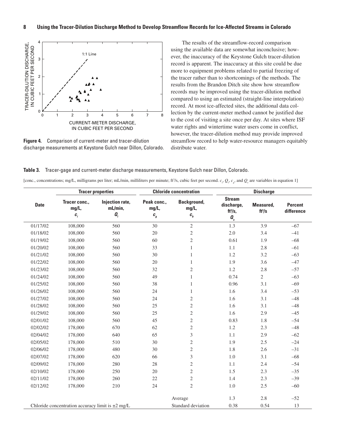

**Figure 4.** Comparison of current-meter and tracer-dilution discharge measurements at Keystone Gulch near Dillon, Colorado.

The results of the streamflow-record comparison using the available data are somewhat inconclusive; however, the inaccuracy of the Keystone Gulch tracer-dilution record is apparent. The inaccuracy at this site could be due more to equipment problems related to partial freezing of the tracer rather than to shortcomings of the methods. The results from the Brandon Ditch site show how streamflow records may be improved using the tracer-dilution method compared to using an estimated (straight-line interpolation) record. At most ice-affected sites, the additional data collection by the current-meter method cannot be justified due to the cost of visiting a site once per day. At sites where ISF water rights and wintertime water users come in conflict, however, the tracer-dilution method may provide improved streamflow record to help water-resource managers equitably distribute water.

**Table 3.** Tracer-gage and current-meter discharge measurements, Keystone Gulch near Dillon, Colorado.

[conc., concentrations; mg/L, milligrams per liter; mL/min, milliliters per minute; ft<sup>3</sup>/s, cubic feet per second.  $c_i$ ,  $Q_i$ ,  $c_g$ , and  $Q_s$  are variables in equation 1]

|             |                                                       | <b>Tracer properties</b>                           |                                     | <b>Chloride concentration</b>                                     | <b>Discharge</b>                                                          |                       |                              |
|-------------|-------------------------------------------------------|----------------------------------------------------|-------------------------------------|-------------------------------------------------------------------|---------------------------------------------------------------------------|-----------------------|------------------------------|
| <b>Date</b> | Tracer conc.,<br>mg/L,<br>$c_{i}$                     | Injection rate,<br>mL/min,<br>$\boldsymbol{a}_{i}$ | Peak conc.,<br>mg/L,<br>$\pmb{c}_g$ | Background,<br>mg/L,<br>$\boldsymbol{c}_{{\scriptscriptstyle b}}$ | <b>Stream</b><br>discharge,<br>$ft^3/s$ ,<br>$\pmb{\mathit{a}}_{{\sf s}}$ | Measured,<br>$ft^3/s$ | <b>Percent</b><br>difference |
| 01/17/02    | 108,000                                               | 560                                                | 30                                  | $\overline{2}$                                                    | 1.3                                                                       | 3.9                   | $-67$                        |
| 01/18/02    | 108,000                                               | 560                                                | 20                                  | $\overline{2}$                                                    | 2.0                                                                       | 3.4                   | $-41$                        |
| 01/19/02    | 108,000                                               | 560                                                | 60                                  | $\mathfrak{2}$                                                    | 0.61                                                                      | 1.9                   | $-68$                        |
| 01/20/02    | 108,000                                               | 560                                                | 33                                  | $\mathbf{1}$                                                      | 1.1                                                                       | 2.8                   | $-61$                        |
| 01/21/02    | 108,000                                               | 560                                                | 30                                  | $\mathbf{1}$                                                      | 1.2                                                                       | 3.2                   | $-63$                        |
| 01/22/02    | 108,000                                               | 560                                                | 20                                  | $\mathbf{1}$                                                      | 1.9                                                                       | 3.6                   | $-47$                        |
| 01/23/02    | 108,000                                               | 560                                                | 32                                  | 2                                                                 | 1.2                                                                       | 2.8                   | $-57$                        |
| 01/24/02    | 108,000                                               | 560                                                | 49                                  | $\mathbf{1}$                                                      | 0.74                                                                      | $\overline{2}$        | $-63$                        |
| 01/25/02    | 108,000                                               | 560                                                | 38                                  | $\mathbf{1}$                                                      | 0.96                                                                      | 3.1                   | $-69$                        |
| 01/26/02    | 108,000                                               | 560                                                | 24                                  | $\mathbf{1}$                                                      | 1.6                                                                       | 3.4                   | $-53$                        |
| 01/27/02    | 108,000                                               | 560                                                | 24                                  | $\mathfrak{2}$                                                    | 1.6                                                                       | 3.1                   | $-48$                        |
| 01/28/02    | 108,000                                               | 560                                                | 25                                  | $\mathfrak{2}$                                                    | 1.6                                                                       | 3.1                   | $-48$                        |
| 01/29/02    | 108,000                                               | 560                                                | 25                                  | $\sqrt{2}$                                                        | 1.6                                                                       | 2.9                   | $-45$                        |
| 02/01/02    | 108,000                                               | 560                                                | 45                                  | $\overline{2}$                                                    | 0.83                                                                      | 1.8                   | $-54$                        |
| 02/02/02    | 178,000                                               | 670                                                | 62                                  | $\overline{2}$                                                    | 1.2                                                                       | 2.3                   | $-48$                        |
| 02/04/02    | 178,000                                               | 640                                                | 65                                  | 3                                                                 | 1.1                                                                       | 2.9                   | $-62$                        |
| 02/05/02    | 178,000                                               | 510                                                | 30                                  | $\overline{2}$                                                    | 1.9                                                                       | 2.5                   | $-24$                        |
| 02/06/02    | 178,000                                               | 480                                                | 30                                  | $\mathbf{2}$                                                      | 1.8                                                                       | 2.6                   | $-31$                        |
| 02/07/02    | 178,000                                               | 620                                                | 66                                  | $\mathfrak{Z}$                                                    | 1.0                                                                       | 3.1                   | $-68$                        |
| 02/09/02    | 178,000                                               | 280                                                | 28                                  | $\overline{2}$                                                    | 1.1                                                                       | 2.4                   | $-54$                        |
| 02/10/02    | 178,000                                               | 250                                                | 20                                  | $\mathfrak{2}$                                                    | 1.5                                                                       | 2.3                   | $-35$                        |
| 02/11/02    | 178,000                                               | 260                                                | 22                                  | $\mathbf{2}$                                                      | 1.4                                                                       | 2.3                   | $-39$                        |
| 02/12/02    | 178,000                                               | 210                                                | 24                                  | $\overline{2}$                                                    | 1.0                                                                       | $2.5\,$               | $-60$                        |
|             |                                                       |                                                    |                                     | Average                                                           | 1.3                                                                       | 2.8                   | $-52$                        |
|             | Chloride concentration accuracy limit is $\pm 2$ mg/L |                                                    |                                     | Standard deviation                                                | 0.38                                                                      | 0.54                  | 13                           |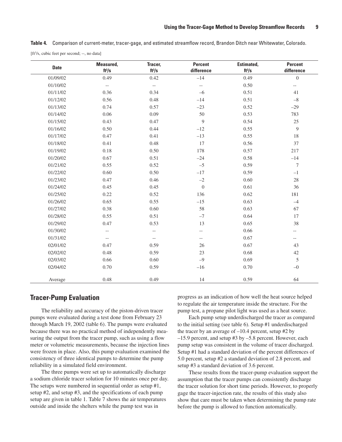**Table 4.** Comparison of current-meter, tracer-gage, and estimated streamflow record, Brandon Ditch near Whitewater, Colorado. [ft<sup>3</sup>/s, cubic feet per second; --, no data]

| <b>Date</b> | Measured,<br>$ft^3/s$    | Tracer,<br>$ft^3/s$      | <b>Percent</b><br>difference | Estimated,<br>$ft^3/s$ | <b>Percent</b><br>difference |
|-------------|--------------------------|--------------------------|------------------------------|------------------------|------------------------------|
| 01/09/02    | 0.49                     | 0.42                     | $-14$                        | 0.49                   | $\boldsymbol{0}$             |
| 01/10/02    | $-\,-$                   | $\overline{\phantom{a}}$ | $\overline{\phantom{a}}$     | 0.50                   | $\overline{\phantom{a}}$     |
| 01/11/02    | 0.36                     | 0.34                     | $-6$                         | 0.51                   | 41                           |
| 01/12/02    | 0.56                     | 0.48                     | $-14$                        | 0.51                   | $-8$                         |
| 01/13/02    | 0.74                     | 0.57                     | $-23$                        | 0.52                   | $-29$                        |
| 01/14/02    | 0.06                     | 0.09                     | 50                           | 0.53                   | 783                          |
| 01/15/02    | 0.43                     | 0.47                     | 9                            | 0.54                   | 25                           |
| 01/16/02    | 0.50                     | 0.44                     | $-12$                        | 0.55                   | $\overline{9}$               |
| 01/17/02    | 0.47                     | 0.41                     | $-13$                        | 0.55                   | 18                           |
| 01/18/02    | 0.41                     | 0.48                     | 17                           | 0.56                   | 37                           |
| 01/19/02    | $0.18\,$                 | 0.50                     | 178                          | 0.57                   | 217                          |
| 01/20/02    | 0.67                     | 0.51                     | $-24$                        | 0.58                   | $-14$                        |
| 01/21/02    | 0.55                     | 0.52                     | $-5$                         | 0.59                   | $\tau$                       |
| 01/22/02    | 0.60                     | 0.50                     | $-17$                        | 0.59                   | $-1$                         |
| 01/23/02    | 0.47                     | 0.46                     | $-2$                         | 0.60                   | 28                           |
| 01/24/02    | 0.45                     | 0.45                     | $\boldsymbol{0}$             | 0.61                   | 36                           |
| 01/25/02    | 0.22                     | 0.52                     | 136                          | 0.62                   | 181                          |
| 01/26/02    | 0.65                     | 0.55                     | $-15$                        | 0.63                   | $-4$                         |
| 01/27/02    | 0.38                     | 0.60                     | 58                           | 0.63                   | 67                           |
| 01/28/02    | 0.55                     | 0.51                     | $-7$                         | 0.64                   | 17                           |
| 01/29/02    | 0.47                     | 0.53                     | 13                           | 0.65                   | 38                           |
| 01/30/02    | $\overline{\phantom{a}}$ | $- -$                    | $-$                          | 0.66                   | $- -$                        |
| 01/31/02    | $\overline{\phantom{a}}$ | $-\!$                    | $\overline{\phantom{a}}$     | 0.67                   | $- -$                        |
| 02/01/02    | 0.47                     | 0.59                     | 26                           | 0.67                   | 43                           |
| 02/02/02    | 0.48                     | 0.59                     | 23                           | 0.68                   | 42                           |
| 02/03/02    | 0.66                     | 0.60                     | $-9$                         | 0.69                   | 5                            |
| 02/04/02    | 0.70                     | 0.59                     | $-16$                        | 0.70                   | $-0$                         |
| Average     | 0.48                     | 0.49                     | 14                           | 0.59                   | 64                           |

#### **Tracer-Pump Evaluation**

The reliability and accuracy of the piston-driven tracer pumps were evaluated during a test done from February 23 through March 19, 2002 (table 6). The pumps were evaluated because there was no practical method of independently measuring the output from the tracer pump, such as using a flow meter or volumetric measurements, because the injection lines were frozen in place. Also, this pump evaluation examined the consistency of three identical pumps to determine the pump reliability in a simulated field environment.

The three pumps were set up to automatically discharge a sodium chloride tracer solution for 10 minutes once per day. The setups were numbered in sequential order as setup #1, setup #2, and setup #3, and the specifications of each pump setup are given in table 1. Table 7 shows the air temperatures outside and inside the shelters while the pump test was in

progress as an indication of how well the heat source helped to regulate the air temperature inside the structure. For the pump test, a propane pilot light was used as a heat source.

Each pump setup underdischarged the tracer as compared to the initial setting (see table 6). Setup #1 underdischarged the tracer by an average of  $-10.4$  percent, setup #2 by –15.9 percent, and setup #3 by –5.8 percent. However, each pump setup was consistent in the volume of tracer discharged. Setup #1 had a standard deviation of the percent differences of 5.0 percent, setup #2 a standard deviation of 2.8 percent, and setup #3 a standard deviation of 3.6 percent.

These results from the tracer-pump evaluation support the assumption that the tracer pumps can consistently discharge the tracer solution for short time periods. However, to properly gage the tracer-injection rate, the results of this study also show that care must be taken when determining the pump rate before the pump is allowed to function automatically.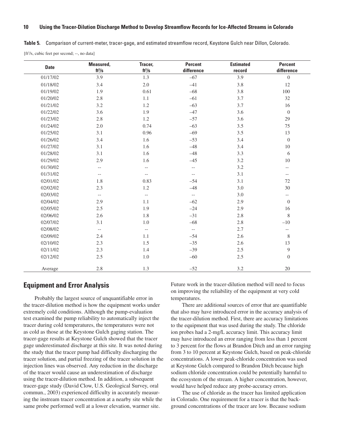**Table 5.** Comparison of current-meter, tracer-gage, and estimated streamflow record, Keystone Gulch near Dillon, Colorado.

[ft<sup>3</sup>/s, cubic feet per second; --, no data]

| <b>Date</b> | Measured,<br>$ft^3/s$ | Tracer,<br>$ft^3/s$      | <b>Percent</b><br>difference | <b>Estimated</b><br>record | Percent<br>difference                               |
|-------------|-----------------------|--------------------------|------------------------------|----------------------------|-----------------------------------------------------|
| 01/17/02    | 3.9                   | 1.3                      | $-67$                        | 3.9                        | $\boldsymbol{0}$                                    |
| 01/18/02    | 3.4                   | $2.0\,$                  | $-41$                        | 3.8                        | $12\,$                                              |
| 01/19/02    | 1.9                   | 0.61                     | $-68$                        | 3.8                        | 100                                                 |
| 01/20/02    | 2.8                   | 1.1                      | $-61$                        | 3.7                        | 32                                                  |
| 01/21/02    | 3.2                   | 1.2                      | $-63$                        | 3.7                        | 16                                                  |
| 01/22/02    | 3.6                   | 1.9                      | $-47$                        | 3.6                        | $\overline{0}$                                      |
| 01/23/02    | 2.8                   | $1.2\,$                  | $-57$                        | 3.6                        | 29                                                  |
| 01/24/02    | $2.0\,$               | 0.74                     | $-63$                        | 3.5                        | 75                                                  |
| 01/25/02    | 3.1                   | 0.96                     | $-69$                        | 3.5                        | 13                                                  |
| 01/26/02    | 3.4                   | 1.6                      | $-53$                        | 3.4                        | $\boldsymbol{0}$                                    |
| 01/27/02    | 3.1                   | 1.6                      | $-48$                        | 3.4                        | 10                                                  |
| 01/28/02    | 3.1                   | 1.6                      | $-48$                        | 3.3                        | 6                                                   |
| 01/29/02    | 2.9                   | 1.6                      | $-45$                        | 3.2                        | 10                                                  |
| 01/30/02    | $- -$                 | $-\,-$                   | $\overline{\phantom{a}}$     | 3.2                        | $-$                                                 |
| 01/31/02    | $--$                  | $--$                     | $-\,-$                       | 3.1                        | $\hspace{0.05cm} -\hspace{0.05cm} -\hspace{0.05cm}$ |
| 02/01/02    | 1.8                   | 0.83                     | $-54$                        | 3.1                        | 72                                                  |
| 02/02/02    | 2.3                   | $1.2\,$                  | $-48$                        | 3.0                        | 30                                                  |
| 02/03/02    | $- -$                 | $\overline{\phantom{a}}$ | $\overline{\phantom{a}}$     | 3.0                        | $\overline{\phantom{a}}$                            |
| 02/04/02    | 2.9                   | 1.1                      | $-62$                        | 2.9                        | $\boldsymbol{0}$                                    |
| 02/05/02    | 2.5                   | 1.9                      | $-24$                        | 2.9                        | 16                                                  |
| 02/06/02    | $2.6\,$               | 1.8                      | $-31$                        | $2.8\,$                    | $8\,$                                               |
| 02/07/02    | 3.1                   | $1.0\,$                  | $-68$                        | 2.8                        | $-10$                                               |
| 02/08/02    | $- -$                 | $\overline{\phantom{m}}$ | $-\hbox{--}$                 | 2.7                        | $-\,-$                                              |
| 02/09/02    | 2.4                   | 1.1                      | $-54$                        | 2.6                        | $\,8\,$                                             |
| 02/10/02    | 2.3                   | 1.5                      | $-35$                        | 2.6                        | 13                                                  |
| 02/11/02    | 2.3                   | 1.4                      | $-39$                        | $2.5\,$                    | $\overline{9}$                                      |
| 02/12/02    | 2.5                   | $1.0\,$                  | $-60$                        | $2.5\,$                    | $\boldsymbol{0}$                                    |
| Average     | 2.8                   | 1.3                      | $-52$                        | 3.2                        | 20                                                  |

## **Equipment and Error Analysis**

Probably the largest source of unquantifiable error in the tracer-dilution method is how the equipment works under extremely cold conditions. Although the pump-evaluation test examined the pump reliability to automatically inject the tracer during cold temperatures, the temperatures were not as cold as those at the Keystone Gulch gaging station. The tracer-gage results at Keystone Gulch showed that the tracer gage underestimated discharge at this site. It was noted during the study that the tracer pump had difficulty discharging the tracer solution, and partial freezing of the tracer solution in the injection lines was observed. Any reduction in the discharge of the tracer would cause an underestimation of discharge using the tracer-dilution method. In addition, a subsequent tracer-gage study (David Clow, U.S. Geological Survey, oral commun., 2003) experienced difficulty in accurately measuring the instream tracer concentration at a nearby site while the same probe performed well at a lower elevation, warmer site.

Future work in the tracer-dilution method will need to focus on improving the reliability of the equipment at very cold temperatures.

There are additional sources of error that are quantifiable that also may have introduced error in the accuracy analysis of the tracer-dilution method. First, there are accuracy limitations to the equipment that was used during the study. The chloride ion probes had a 2-mg/L accuracy limit. This accuracy limit may have introduced an error ranging from less than 1 percent to 3 percent for the flows at Brandon Ditch and an error ranging from 3 to 10 percent at Keystone Gulch, based on peak-chloride concentrations. A lower peak-chloride concentration was used at Keystone Gulch compared to Brandon Ditch because high sodium chloride concentration could be potentially harmful to the ecosystem of the stream. A higher concentration, however, would have helped reduce any probe-accuracy errors.

The use of chloride as the tracer has limited application in Colorado. One requirement for a tracer is that the background concentrations of the tracer are low. Because sodium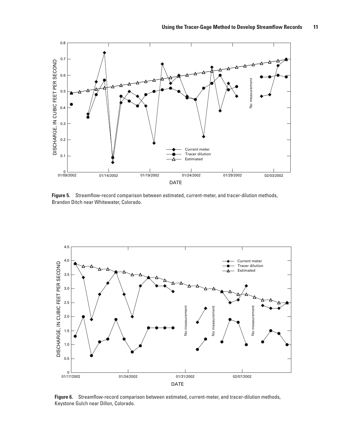

**Figure 5.** Streamflow-record comparison between estimated, current-meter, and tracer-dilution methods, Brandon Ditch near Whitewater, Colorado.



**Figure 6.** Streamflow-record comparison between estimated, current-meter, and tracer-dilution methods, Keystone Gulch near Dillon, Colorado.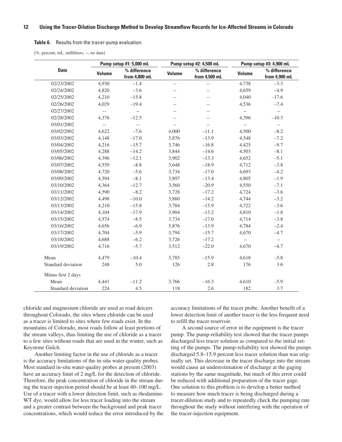#### **Table 6.** Results from the tracer-pump evaluation.

[%, percent; mL, milliliters; --, no data]

|                    | Pump setup #1: 5,000 mL  |                               | Pump setup #2: 4,500 mL  |                               | Pump setup #3: 4,900 mL   |                               |
|--------------------|--------------------------|-------------------------------|--------------------------|-------------------------------|---------------------------|-------------------------------|
| <b>Date</b>        | <b>Volume</b>            | % difference<br>from 4,800 mL | <b>Volume</b>            | % difference<br>from 4,500 mL | <b>Volume</b>             | % difference<br>from 4,900 mL |
| 02/23/2002         | 4,930                    | $-1.4$                        | $\overline{\phantom{a}}$ | $\overline{\phantom{a}}$      | 4,738                     | $-3.3$                        |
| 02/24/2002         | 4,820                    | $-3.6$                        | $- -$                    | $-$                           | 4,659                     | $-4.9$                        |
| 02/25/2002         | 4,210                    | $-15.8$                       | $-\,-$                   | $-$                           | 4,040                     | $-17.6$                       |
| 02/26/2002         | 4,029                    | $-19.4$                       | $-$                      | $-$                           | 4,536                     | $-7.4$                        |
| 02/27/2002         | $\overline{\phantom{a}}$ | $ \sim$                       | $-\,-$                   | $-$                           | $\overline{\phantom{a}}$  | $\mathbb{H}^{\mathbb{H}}$     |
| 02/28/2002         | 4,376                    | $-12.5$                       | $-$                      | $-$                           | 4,396                     | $-10.3$                       |
| 03/01/2002         | $\overline{\phantom{a}}$ | $\overline{\phantom{a}}$      | $-$                      | $-$                           | $\mathbb{L}^{\mathbb{L}}$ | $\overline{\phantom{a}}$      |
| 03/02/2002         | 4,622                    | $-7.6$                        | 4,000                    | $-11.1$                       | 4,500                     | $-8.2$                        |
| 03/03/2002         | 4,148                    | $-17.0$                       | 3,876                    | $-13.9$                       | 4,548                     | $-7.2$                        |
| 03/04/2002         | 4,216                    | $-15.7$                       | 3,746                    | $-16.8$                       | 4,425                     | $-9.7$                        |
| 03/05/2002         | 4,288                    | $-14.2$                       | 3,844                    | $-14.6$                       | 4,503                     | $-8.1$                        |
| 03/06/2002         | 4,396                    | $-12.1$                       | 3,902                    | $-13.3$                       | 4,652                     | $-5.1$                        |
| 03/07/2002         | 4,559                    | $-8.8$                        | 3,648                    | $-18.9$                       | 4,712                     | $-3.8$                        |
| 03/08/2002         | 4,720                    | $-5.6$                        | 3,734                    | $-17.0$                       | 4,693                     | $-4.2$                        |
| 03/09/2002         | 4,594                    | $-8.1$                        | 3,897                    | $-13.4$                       | 4,805                     | $-1.9$                        |
| 03/10/2002         | 4,364                    | $-12.7$                       | 3,560                    | $-20.9$                       | 4,550                     | $-7.1$                        |
| 03/11/2002         | 4,590                    | $-8.2$                        | 3,728                    | $-17.2$                       | 4,724                     | $-3.6$                        |
| 03/12/2002         | 4,498                    | $-10.0$                       | 3,860                    | $-14.2$                       | 4,744                     | $-3.2$                        |
| 03/13/2002         | 4,210                    | $-15.8$                       | 3,784                    | $-15.9$                       | 4,722                     | $-3.6$                        |
| 03/14/2002         | 4,104                    | $-17.9$                       | 3,904                    | $-13.2$                       | 4,810                     | $-1.8$                        |
| 03/15/2002         | 4.574                    | $-8.5$                        | 3,734                    | $-17.0$                       | 4,714                     | $-3.8$                        |
| 03/16/2002         | 4,656                    | $-6.9$                        | 3,876                    | $-13.9$                       | 4,784                     | $-2.4$                        |
| 03/17/2002         | 4,704                    | $-5.9$                        | 3,794                    | $-15.7$                       | 4,670                     | $-4.7$                        |
| 03/18/2002         | 4,688                    | $-6.2$                        | 3,726                    | $-17.2$                       | $\overline{\phantom{m}}$  | $\overline{\phantom{a}}$      |
| 03/19/2002         | 4,716                    | $-5.7$                        | 3,512                    | $-22.0$                       | 4,670                     | $-4.7$                        |
| Mean               | 4,479                    | $-10.4$                       | 3,785                    | $-15.9$                       | 4,618                     | $-5.8$                        |
| Standard deviation | 248                      | 5.0                           | 126                      | 2.8                           | 176                       | 3.6                           |
| Minus first 2 days |                          |                               |                          |                               |                           |                               |
| Mean               | 4,441                    | $-11.2$                       | 3,766                    | $-16.3$                       | 4,610                     | $-5.9$                        |
| Standard deviation | 224                      | 4.5                           | 118                      | 2.6                           | 182                       | 3.7                           |

chloride and magnesium chloride are used as road deicers throughout Colorado, the sites where chloride can be used as a tracer is limited to sites where few roads exist. In the mountains of Colorado, most roads follow at least portions of the stream valleys, thus limiting the use of chloride as a tracer to a few sites without roads that are used in the winter, such as Keystone Gulch.

Another limiting factor in the use of chloride as a tracer is the accuracy limitations of the in-situ water-quality probes. Most standard in-situ water-quality probes at present (2003) have an accuracy limit of 2 mg/L for the detection of chloride. Therefore, the peak concentration of chloride in the stream during the tracer-injection period should be at least 40–100 mg/L. Use of a tracer with a lower detection limit, such as rhodamine-WT dye, would allow for less tracer loading into the stream and a greater contrast between the background and peak tracer concentrations, which would reduce the error introduced by the accuracy limitations of the tracer probe. Another benefit of a lower detection limit of another tracer is the less frequent need to refill the tracer reservoir.

A second source of error in the equipment is the tracer pump. The pump-reliability test showed that the tracer pumps discharged less tracer solution as compared to the initial setting of the pumps. The pump-reliability test showed the pumps discharged 5.8–15.9 percent less tracer solution than was originally set. This decrease in the tracer discharge into the stream would cause an underestimation of discharge at the gaging stations by the same magnitude, but much of this error could be reduced with additional preparation of the tracer gage. One solution to this problem is to develop a better method to measure how much tracer is being discharged during a tracer-dilution study and to repeatedly check the pumping rate throughout the study without interfering with the operation of the tracer-injection equipment.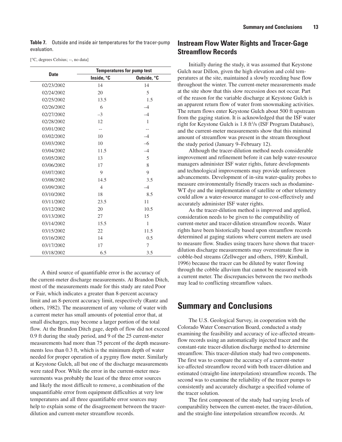**Table 7.** Outside and inside air temperatures for the tracer-pump evaluation.

[°C, degrees Celsius; --, no data]

|             | <b>Temperatures for pump test</b> |              |  |  |  |
|-------------|-----------------------------------|--------------|--|--|--|
| <b>Date</b> | Inside, °C                        | Outside, °C  |  |  |  |
| 02/23/2002  | 14                                | 14           |  |  |  |
| 02/24/2002  | 20                                | 5            |  |  |  |
| 02/25/2002  | 13.5                              | 1.5          |  |  |  |
| 02/26/2002  | 6                                 | $-4$         |  |  |  |
| 02/27/2002  | $-3$                              | $-4$         |  |  |  |
| 02/28/2002  | 12                                | $\mathbf{1}$ |  |  |  |
| 03/01/2002  |                                   |              |  |  |  |
| 03/02/2002  | 10                                | $-4$         |  |  |  |
| 03/03/2002  | 10                                | $-6$         |  |  |  |
| 03/04/2002  | 11.5                              | $-4$         |  |  |  |
| 03/05/2002  | 13                                | 5            |  |  |  |
| 03/06/2002  | 17                                | 8            |  |  |  |
| 03/07/2002  | 9                                 | 9            |  |  |  |
| 03/08/2002  | 14.5                              | 3.5          |  |  |  |
| 03/09/2002  | $\overline{4}$                    | $-4$         |  |  |  |
| 03/10/2002  | 18                                | 8.5          |  |  |  |
| 03/11/2002  | 23.5                              | 11           |  |  |  |
| 03/12/2002  | 20                                | 10.5         |  |  |  |
| 03/13/2002  | 27                                | 15           |  |  |  |
| 03/14/2002  | 15.5                              | 1            |  |  |  |
| 03/15/2002  | 22                                | 11.5         |  |  |  |
| 03/16/2002  | 14                                | 0.5          |  |  |  |
| 03/17/2002  | 17                                | 7            |  |  |  |
| 03/18/2002  | 6.5                               | 3.5          |  |  |  |

A third source of quantifiable error is the accuracy of the current-meter discharge measurements. At Brandon Ditch, most of the measurements made for this study are rated Poor or Fair, which indicates a greater than 8-percent accuracy limit and an 8-percent accuracy limit, respectively (Rantz and others, 1982). The measurement of any volume of water with a current meter has small amounts of potential error that, at small discharges, may become a larger portion of the total flow. At the Brandon Ditch gage, depth of flow did not exceed 0.9 ft during the study period, and 9 of the 25 current-meter measurements had more than 75 percent of the depth measurements less than 0.3 ft, which is the minimum depth of water needed for proper operation of a pygmy flow meter. Similarly at Keystone Gulch, all but one of the discharge measurements were rated Poor. While the error in the current-meter measurements was probably the least of the three error sources and likely the most difficult to remove, a combination of the unquantifiable error from equipment difficulties at very low temperatures and all three quantifiable error sources may help to explain some of the disagreement between the tracerdilution and current-meter streamflow records.

## **Instream Flow Water Rights and Tracer-Gage Streamflow Records**

Initially during the study, it was assumed that Keystone Gulch near Dillon, given the high elevation and cold temperatures at the site, maintained a slowly receding base flow throughout the winter. The current-meter measurements made at the site show that this slow recession does not occur. Part of the reason for the variable discharge at Keystone Gulch is an apparent return flow of water from snowmaking activities. The return flows enter Keystone Gulch about 500 ft upstream from the gaging station. It is acknowledged that the ISF water right for Keystone Gulch is 1.8 ft<sup>3</sup>/s (ISF Program Database), and the current-meter measurements show that this minimal amount of streamflow was present in the stream throughout the study period (January 9–February 12).

Although the tracer-dilution method needs considerable improvement and refinement before it can help water-resource managers administer ISF water rights, future developments and technological improvements may provide unforeseen advancements. Development of in-situ water-quality probes to measure environmentally friendly tracers such as rhodamine-WT dye and the implementation of satellite or other telemetry could allow a water-resource manager to cost-effectively and accurately administer ISF water rights.

As the tracer-dilution method is improved and applied, consideration needs to be given to the compatibility of current-meter and tracer-dilution streamflow records. Water rights have been historically based upon streamflow records determined at gaging stations where current meters are used to measure flow. Studies using tracers have shown that tracerdilution discharge measurements may overestimate flow in cobble-bed streams (Zellweger and others, 1989; Kimball, 1996) because the tracer can be diluted by water flowing through the cobble alluvium that cannot be measured with a current meter. The discrepancies between the two methods may lead to conflicting streamflow values.

## **Summary and Conclusions**

The U.S. Geological Survey, in cooperation with the Colorado Water Conservation Board, conducted a study examining the feasibility and accuracy of ice-affected streamflow records using an automatically injected tracer and the constant-rate tracer-dilution discharge method to determine streamflow. This tracer-dilution study had two components. The first was to compare the accuracy of a current-meter ice-affected streamflow record with both tracer-dilution and estimated (straight-line interpolation) streamflow records. The second was to examine the reliability of the tracer pumps to consistently and accurately discharge a specified volume of the tracer solution.

The first component of the study had varying levels of comparability between the current-meter, the tracer-dilution, and the straight-line interpolation streamflow records. At